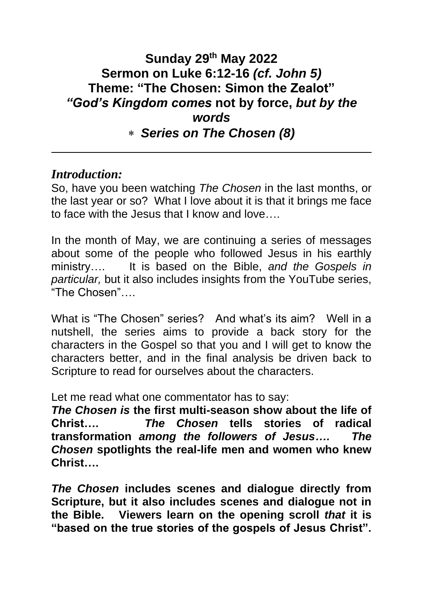# **Sunday 29th May 2022 Sermon on Luke 6:12-16** *(cf. John 5)* **Theme: "The Chosen: Simon the Zealot"** *"God's Kingdom comes* **not by force,** *but by the words Series on The Chosen (8)*

## *Introduction:*

So, have you been watching *The Chosen* in the last months, or the last year or so? What I love about it is that it brings me face to face with the Jesus that I know and love….

In the month of May, we are continuing a series of messages about some of the people who followed Jesus in his earthly ministry…. It is based on the Bible, *and the Gospels in particular,* but it also includes insights from the YouTube series, "The Chosen"….

What is "The Chosen" series? And what's its aim? Well in a nutshell, the series aims to provide a back story for the characters in the Gospel so that you and I will get to know the characters better, and in the final analysis be driven back to Scripture to read for ourselves about the characters.

Let me read what one commentator has to say:

*The Chosen is* **the first multi-season show about the life of Christ….** *The Chosen* **tells stories of radical transformation** *among the followers of Jesus…. The Chosen* **spotlights the real-life men and women who knew Christ….**

*The Chosen* **includes scenes and dialogue directly from Scripture, but it also includes scenes and dialogue not in the Bible. Viewers learn on the opening scroll** *that* **it is "based on the true stories of the gospels of Jesus Christ".**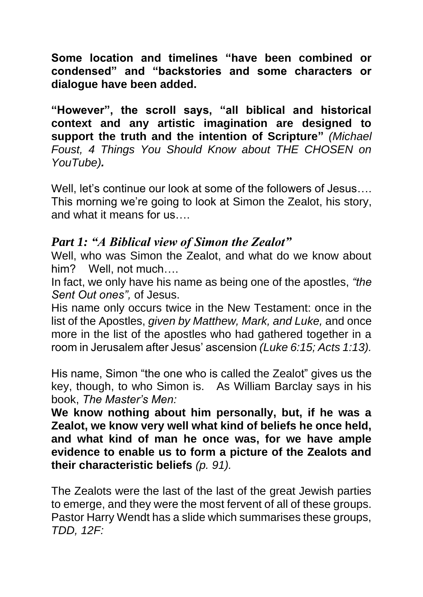**Some location and timelines "have been combined or condensed" and "backstories and some characters or dialogue have been added.**

**"However", the scroll says, "all biblical and historical context and any artistic imagination are designed to support the truth and the intention of Scripture"** *(Michael Foust, 4 Things You Should Know about THE CHOSEN on YouTube).*

Well, let's continue our look at some of the followers of Jesus…. This morning we're going to look at Simon the Zealot, his story, and what it means for us….

## *Part 1: "A Biblical view of Simon the Zealot"*

Well, who was Simon the Zealot, and what do we know about him? Well, not much....

In fact, we only have his name as being one of the apostles, *"the Sent Out ones",* of Jesus.

His name only occurs twice in the New Testament: once in the list of the Apostles, *given by Matthew, Mark, and Luke,* and once more in the list of the apostles who had gathered together in a room in Jerusalem after Jesus' ascension *(Luke 6:15; Acts 1:13).*

His name, Simon "the one who is called the Zealot" gives us the key, though, to who Simon is. As William Barclay says in his book, *The Master's Men:*

**We know nothing about him personally, but, if he was a Zealot, we know very well what kind of beliefs he once held, and what kind of man he once was, for we have ample evidence to enable us to form a picture of the Zealots and their characteristic beliefs** *(p. 91).*

The Zealots were the last of the last of the great Jewish parties to emerge, and they were the most fervent of all of these groups. Pastor Harry Wendt has a slide which summarises these groups, *TDD, 12F:*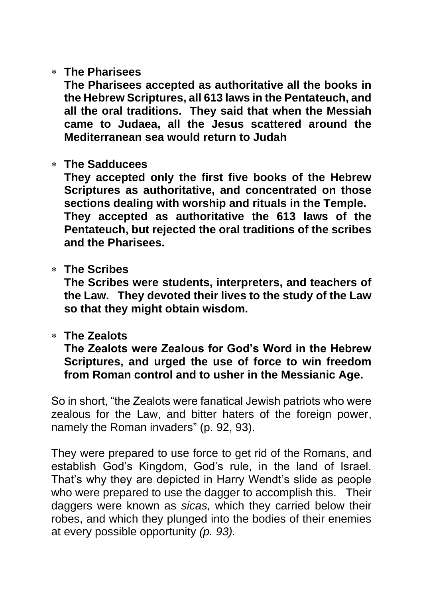#### **The Pharisees**

**The Pharisees accepted as authoritative all the books in the Hebrew Scriptures, all 613 laws in the Pentateuch, and all the oral traditions. They said that when the Messiah came to Judaea, all the Jesus scattered around the Mediterranean sea would return to Judah**

#### **The Sadducees**

**They accepted only the first five books of the Hebrew Scriptures as authoritative, and concentrated on those sections dealing with worship and rituals in the Temple. They accepted as authoritative the 613 laws of the Pentateuch, but rejected the oral traditions of the scribes and the Pharisees.**

#### **The Scribes**

**The Scribes were students, interpreters, and teachers of the Law. They devoted their lives to the study of the Law so that they might obtain wisdom.**

#### **The Zealots**

**The Zealots were Zealous for God's Word in the Hebrew Scriptures, and urged the use of force to win freedom from Roman control and to usher in the Messianic Age.**

So in short, "the Zealots were fanatical Jewish patriots who were zealous for the Law, and bitter haters of the foreign power, namely the Roman invaders" (p. 92, 93).

They were prepared to use force to get rid of the Romans, and establish God's Kingdom, God's rule, in the land of Israel. That's why they are depicted in Harry Wendt's slide as people who were prepared to use the dagger to accomplish this. Their daggers were known as *sicas,* which they carried below their robes, and which they plunged into the bodies of their enemies at every possible opportunity *(p. 93).*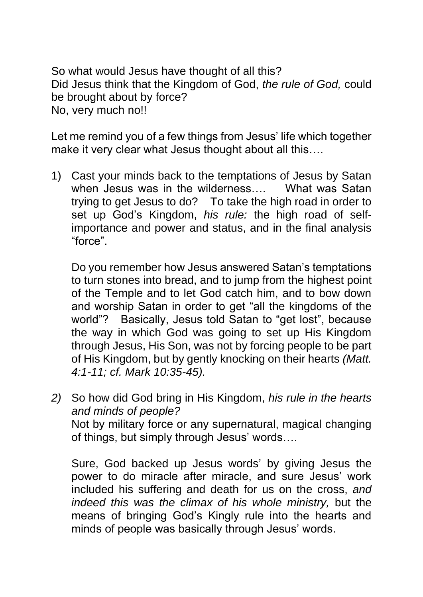So what would Jesus have thought of all this? Did Jesus think that the Kingdom of God, *the rule of God,* could be brought about by force? No, very much no!!

Let me remind you of a few things from Jesus' life which together make it very clear what Jesus thought about all this….

1) Cast your minds back to the temptations of Jesus by Satan when Jesus was in the wilderness…. What was Satan trying to get Jesus to do? To take the high road in order to set up God's Kingdom, *his rule:* the high road of selfimportance and power and status, and in the final analysis "force".

Do you remember how Jesus answered Satan's temptations to turn stones into bread, and to jump from the highest point of the Temple and to let God catch him, and to bow down and worship Satan in order to get "all the kingdoms of the world"? Basically, Jesus told Satan to "get lost", because the way in which God was going to set up His Kingdom through Jesus, His Son, was not by forcing people to be part of His Kingdom, but by gently knocking on their hearts *(Matt. 4:1-11; cf. Mark 10:35-45).*

*2)* So how did God bring in His Kingdom, *his rule in the hearts and minds of people?* Not by military force or any supernatural, magical changing of things, but simply through Jesus' words….

Sure, God backed up Jesus words' by giving Jesus the power to do miracle after miracle, and sure Jesus' work included his suffering and death for us on the cross, *and indeed this was the climax of his whole ministry,* but the means of bringing God's Kingly rule into the hearts and minds of people was basically through Jesus' words.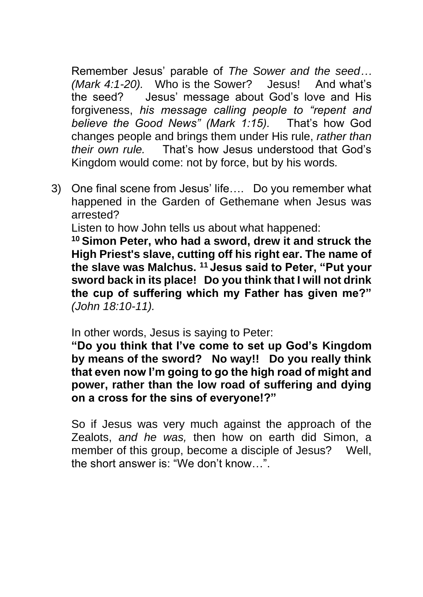Remember Jesus' parable of *The Sower and the seed… (Mark 4:1-20).* Who is the Sower? Jesus! And what's the seed? Jesus' message about God's love and His forgiveness, *his message calling people to "repent and believe the Good News" (Mark 1:15).* That's how God changes people and brings them under His rule, *rather than their own rule.* That's how Jesus understood that God's Kingdom would come: not by force, but by his words*.*

3) One final scene from Jesus' life…. Do you remember what happened in the Garden of Gethemane when Jesus was arrested?

Listen to how John tells us about what happened:

**<sup>10</sup> Simon Peter, who had a sword, drew it and struck the High Priest's slave, cutting off his right ear. The name of the slave was Malchus. <sup>11</sup> Jesus said to Peter, "Put your sword back in its place! Do you think that I will not drink the cup of suffering which my Father has given me?"**  *(John 18:10-11).*

In other words, Jesus is saying to Peter:

**"Do you think that I've come to set up God's Kingdom by means of the sword? No way!! Do you really think that even now I'm going to go the high road of might and power, rather than the low road of suffering and dying on a cross for the sins of everyone!?"**

So if Jesus was very much against the approach of the Zealots, *and he was,* then how on earth did Simon, a member of this group, become a disciple of Jesus? Well, the short answer is: "We don't know…".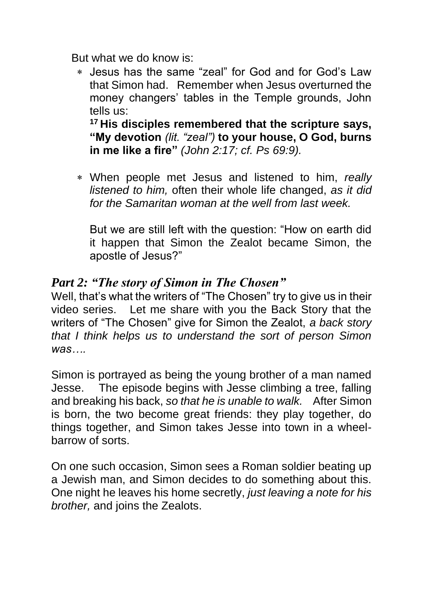But what we do know is:

 Jesus has the same "zeal" for God and for God's Law that Simon had. Remember when Jesus overturned the money changers' tables in the Temple grounds, John tells us:

**<sup>17</sup> His disciples remembered that the scripture says, "My devotion** *(lit. "zeal")* **to your house, O God, burns in me like a fire"** *(John 2:17; cf. Ps 69:9).*

 When people met Jesus and listened to him, *really listened to him,* often their whole life changed, *as it did for the Samaritan woman at the well from last week.*

But we are still left with the question: "How on earth did it happen that Simon the Zealot became Simon, the apostle of Jesus?"

## *Part 2: "The story of Simon in The Chosen"*

Well, that's what the writers of "The Chosen" try to give us in their video series. Let me share with you the Back Story that the writers of "The Chosen" give for Simon the Zealot, *a back story that I think helps us to understand the sort of person Simon was….*

Simon is portrayed as being the young brother of a man named Jesse. The episode begins with Jesse climbing a tree, falling and breaking his back, *so that he is unable to walk.* After Simon is born, the two become great friends: they play together, do things together, and Simon takes Jesse into town in a wheelbarrow of sorts.

On one such occasion, Simon sees a Roman soldier beating up a Jewish man, and Simon decides to do something about this. One night he leaves his home secretly, *just leaving a note for his brother,* and joins the Zealots.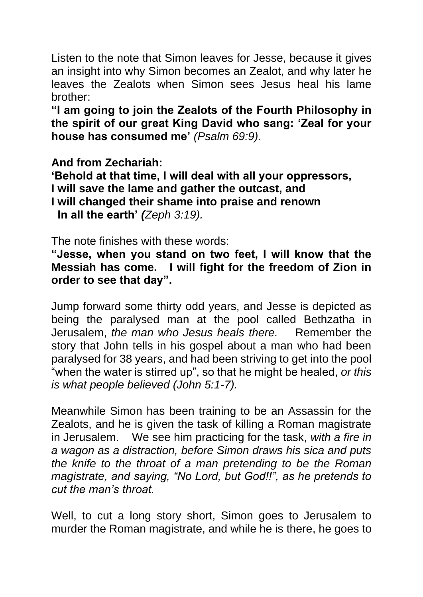Listen to the note that Simon leaves for Jesse, because it gives an insight into why Simon becomes an Zealot, and why later he leaves the Zealots when Simon sees Jesus heal his lame brother:

**"I am going to join the Zealots of the Fourth Philosophy in the spirit of our great King David who sang: 'Zeal for your house has consumed me'** *(Psalm 69:9).*

**And from Zechariah:**

**'Behold at that time, I will deal with all your oppressors, I will save the lame and gather the outcast, and I will changed their shame into praise and renown In all the earth'** *(Zeph 3:19).*

The note finishes with these words:

**"Jesse, when you stand on two feet, I will know that the Messiah has come. I will fight for the freedom of Zion in order to see that day".**

Jump forward some thirty odd years, and Jesse is depicted as being the paralysed man at the pool called Bethzatha in Jerusalem, *the man who Jesus heals there.* Remember the story that John tells in his gospel about a man who had been paralysed for 38 years, and had been striving to get into the pool "when the water is stirred up", so that he might be healed, *or this is what people believed (John 5:1-7).*

Meanwhile Simon has been training to be an Assassin for the Zealots, and he is given the task of killing a Roman magistrate in Jerusalem. We see him practicing for the task, *with a fire in a wagon as a distraction, before Simon draws his sica and puts the knife to the throat of a man pretending to be the Roman magistrate, and saying, "No Lord, but God!!", as he pretends to cut the man's throat.*

Well, to cut a long story short, Simon goes to Jerusalem to murder the Roman magistrate, and while he is there, he goes to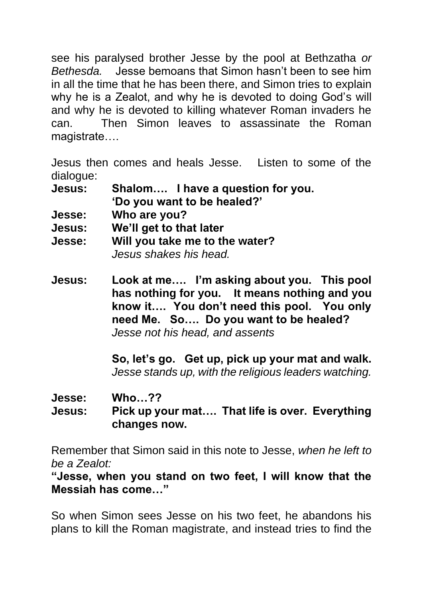see his paralysed brother Jesse by the pool at Bethzatha *or Bethesda.* Jesse bemoans that Simon hasn't been to see him in all the time that he has been there, and Simon tries to explain why he is a Zealot, and why he is devoted to doing God's will and why he is devoted to killing whatever Roman invaders he can. Then Simon leaves to assassinate the Roman magistrate….

Jesus then comes and heals Jesse. Listen to some of the dialogue:

| <b>Jesus:</b>                                       | Shalom I have a question for you. |
|-----------------------------------------------------|-----------------------------------|
|                                                     | 'Do you want to be healed?'       |
| and the contract of the contract of the contract of | $\sim$ $\sim$                     |

- **Jesse: Who are you?**
- **Jesus: We'll get to that later**
- **Jesse: Will you take me to the water?** *Jesus shakes his head.*

**Jesus: Look at me…. I'm asking about you. This pool has nothing for you. It means nothing and you know it…. You don't need this pool. You only need Me. So…. Do you want to be healed?** *Jesse not his head, and assents*

> **So, let's go. Get up, pick up your mat and walk.** *Jesse stands up, with the religious leaders watching.*

**Jesse: Who…??**

**Jesus: Pick up your mat…. That life is over. Everything changes now.**

Remember that Simon said in this note to Jesse, *when he left to be a Zealot:*

**"Jesse, when you stand on two feet, I will know that the Messiah has come…"**

So when Simon sees Jesse on his two feet, he abandons his plans to kill the Roman magistrate, and instead tries to find the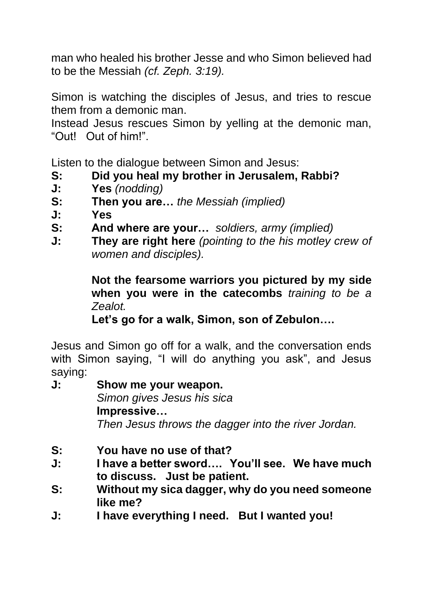man who healed his brother Jesse and who Simon believed had to be the Messiah *(cf. Zeph. 3:19).*

Simon is watching the disciples of Jesus, and tries to rescue them from a demonic man.

Instead Jesus rescues Simon by yelling at the demonic man, "Out! Out of him!".

Listen to the dialogue between Simon and Jesus:

- **S: Did you heal my brother in Jerusalem, Rabbi?**
- **J: Yes** *(nodding)*
- **S: Then you are…** *the Messiah (implied)*
- **J: Yes**
- **S: And where are your…** *soldiers, army (implied)*
- **J: They are right here** *(pointing to the his motley crew of women and disciples).*

 **Not the fearsome warriors you pictured by my side when you were in the catecombs** *training to be a Zealot.*

**Let's go for a walk, Simon, son of Zebulon….**

Jesus and Simon go off for a walk, and the conversation ends with Simon saying, "I will do anything you ask", and Jesus saying:

**J: Show me your weapon.**  *Simon gives Jesus his sica* **Impressive…** *Then Jesus throws the dagger into the river Jordan.*

- **S: You have no use of that?**
- **J: I have a better sword…. You'll see. We have much to discuss. Just be patient.**
- **S: Without my sica dagger, why do you need someone like me?**
- **J: I have everything I need. But I wanted you!**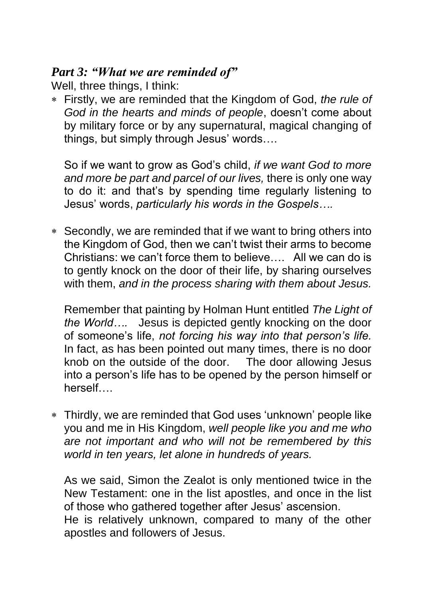## *Part 3: "What we are reminded of"*

Well, three things, I think:

 Firstly, we are reminded that the Kingdom of God, *the rule of God in the hearts and minds of people*, doesn't come about by military force or by any supernatural, magical changing of things, but simply through Jesus' words….

So if we want to grow as God's child, *if we want God to more and more be part and parcel of our lives,* there is only one way to do it: and that's by spending time regularly listening to Jesus' words, *particularly his words in the Gospels….*

 Secondly, we are reminded that if we want to bring others into the Kingdom of God, then we can't twist their arms to become Christians: we can't force them to believe…. All we can do is to gently knock on the door of their life, by sharing ourselves with them, *and in the process sharing with them about Jesus.*

Remember that painting by Holman Hunt entitled *The Light of the World….* Jesus is depicted gently knocking on the door of someone's life, *not forcing his way into that person's life.*  In fact, as has been pointed out many times, there is no door knob on the outside of the door. The door allowing Jesus into a person's life has to be opened by the person himself or herself….

 Thirdly, we are reminded that God uses 'unknown' people like you and me in His Kingdom, *well people like you and me who are not important and who will not be remembered by this world in ten years, let alone in hundreds of years.*

As we said, Simon the Zealot is only mentioned twice in the New Testament: one in the list apostles, and once in the list of those who gathered together after Jesus' ascension. He is relatively unknown, compared to many of the other apostles and followers of Jesus.